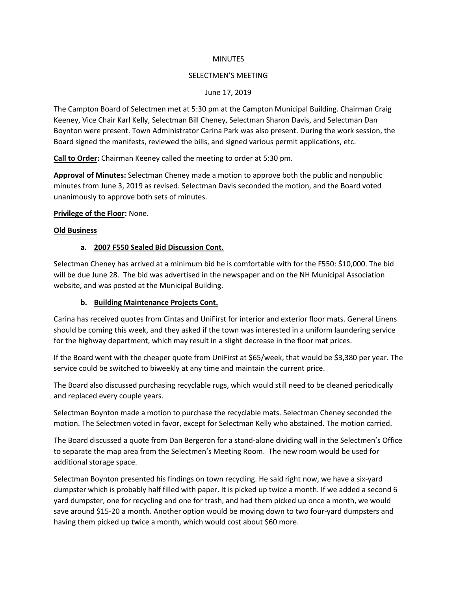#### **MINUTES**

#### SELECTMEN'S MEETING

#### June 17, 2019

The Campton Board of Selectmen met at 5:30 pm at the Campton Municipal Building. Chairman Craig Keeney, Vice Chair Karl Kelly, Selectman Bill Cheney, Selectman Sharon Davis, and Selectman Dan Boynton were present. Town Administrator Carina Park was also present. During the work session, the Board signed the manifests, reviewed the bills, and signed various permit applications, etc.

**Call to Order:** Chairman Keeney called the meeting to order at 5:30 pm.

**Approval of Minutes:** Selectman Cheney made a motion to approve both the public and nonpublic minutes from June 3, 2019 as revised. Selectman Davis seconded the motion, and the Board voted unanimously to approve both sets of minutes.

### **Privilege of the Floor:** None.

### **Old Business**

### **a. 2007 F550 Sealed Bid Discussion Cont.**

Selectman Cheney has arrived at a minimum bid he is comfortable with for the F550: \$10,000. The bid will be due June 28. The bid was advertised in the newspaper and on the NH Municipal Association website, and was posted at the Municipal Building.

### **b. Building Maintenance Projects Cont.**

Carina has received quotes from Cintas and UniFirst for interior and exterior floor mats. General Linens should be coming this week, and they asked if the town was interested in a uniform laundering service for the highway department, which may result in a slight decrease in the floor mat prices.

If the Board went with the cheaper quote from UniFirst at \$65/week, that would be \$3,380 per year. The service could be switched to biweekly at any time and maintain the current price.

The Board also discussed purchasing recyclable rugs, which would still need to be cleaned periodically and replaced every couple years.

Selectman Boynton made a motion to purchase the recyclable mats. Selectman Cheney seconded the motion. The Selectmen voted in favor, except for Selectman Kelly who abstained. The motion carried.

The Board discussed a quote from Dan Bergeron for a stand-alone dividing wall in the Selectmen's Office to separate the map area from the Selectmen's Meeting Room. The new room would be used for additional storage space.

Selectman Boynton presented his findings on town recycling. He said right now, we have a six-yard dumpster which is probably half filled with paper. It is picked up twice a month. If we added a second 6 yard dumpster, one for recycling and one for trash, and had them picked up once a month, we would save around \$15-20 a month. Another option would be moving down to two four-yard dumpsters and having them picked up twice a month, which would cost about \$60 more.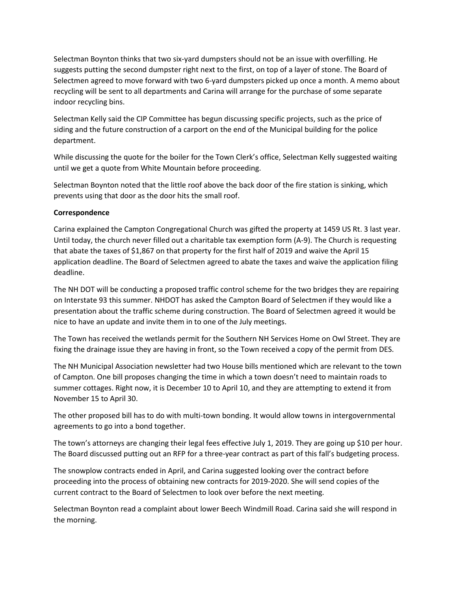Selectman Boynton thinks that two six-yard dumpsters should not be an issue with overfilling. He suggests putting the second dumpster right next to the first, on top of a layer of stone. The Board of Selectmen agreed to move forward with two 6-yard dumpsters picked up once a month. A memo about recycling will be sent to all departments and Carina will arrange for the purchase of some separate indoor recycling bins.

Selectman Kelly said the CIP Committee has begun discussing specific projects, such as the price of siding and the future construction of a carport on the end of the Municipal building for the police department.

While discussing the quote for the boiler for the Town Clerk's office, Selectman Kelly suggested waiting until we get a quote from White Mountain before proceeding.

Selectman Boynton noted that the little roof above the back door of the fire station is sinking, which prevents using that door as the door hits the small roof.

### **Correspondence**

Carina explained the Campton Congregational Church was gifted the property at 1459 US Rt. 3 last year. Until today, the church never filled out a charitable tax exemption form (A-9). The Church is requesting that abate the taxes of \$1,867 on that property for the first half of 2019 and waive the April 15 application deadline. The Board of Selectmen agreed to abate the taxes and waive the application filing deadline.

The NH DOT will be conducting a proposed traffic control scheme for the two bridges they are repairing on Interstate 93 this summer. NHDOT has asked the Campton Board of Selectmen if they would like a presentation about the traffic scheme during construction. The Board of Selectmen agreed it would be nice to have an update and invite them in to one of the July meetings.

The Town has received the wetlands permit for the Southern NH Services Home on Owl Street. They are fixing the drainage issue they are having in front, so the Town received a copy of the permit from DES.

The NH Municipal Association newsletter had two House bills mentioned which are relevant to the town of Campton. One bill proposes changing the time in which a town doesn't need to maintain roads to summer cottages. Right now, it is December 10 to April 10, and they are attempting to extend it from November 15 to April 30.

The other proposed bill has to do with multi-town bonding. It would allow towns in intergovernmental agreements to go into a bond together.

The town's attorneys are changing their legal fees effective July 1, 2019. They are going up \$10 per hour. The Board discussed putting out an RFP for a three-year contract as part of this fall's budgeting process.

The snowplow contracts ended in April, and Carina suggested looking over the contract before proceeding into the process of obtaining new contracts for 2019-2020. She will send copies of the current contract to the Board of Selectmen to look over before the next meeting.

Selectman Boynton read a complaint about lower Beech Windmill Road. Carina said she will respond in the morning.